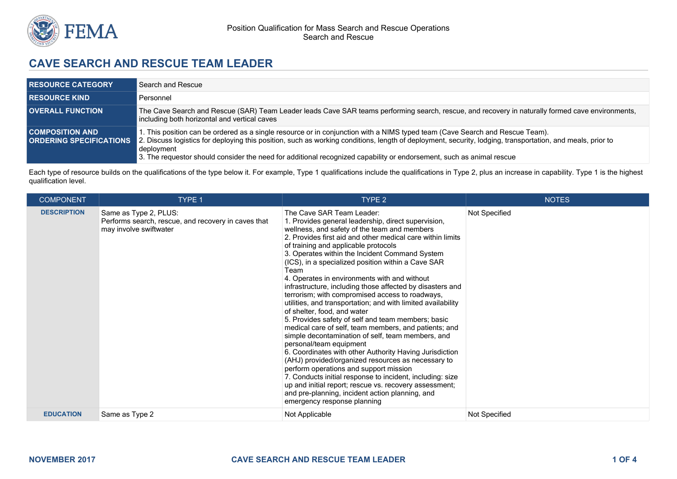

# **CAVE SEARCH AND RESCUE TEAM LEADER**

| <b>RESOURCE CATEGORY</b> | Search and Rescue                                                                                                                                                                                                                                                                                                                                                                                                                                               |
|--------------------------|-----------------------------------------------------------------------------------------------------------------------------------------------------------------------------------------------------------------------------------------------------------------------------------------------------------------------------------------------------------------------------------------------------------------------------------------------------------------|
| <b>RESOURCE KIND</b>     | Personnel                                                                                                                                                                                                                                                                                                                                                                                                                                                       |
| <b>OVERALL FUNCTION</b>  | The Cave Search and Rescue (SAR) Team Leader leads Cave SAR teams performing search, rescue, and recovery in naturally formed cave environments,<br>including both horizontal and vertical caves                                                                                                                                                                                                                                                                |
| <b>COMPOSITION AND</b>   | 1. This position can be ordered as a single resource or in conjunction with a NIMS typed team (Cave Search and Rescue Team).<br><b>ORDERING SPECIFICATIONS</b> 2. Discuss logistics for deploying this position, such as working conditions, length of deployment, security, lodging, transportation, and meals, prior to<br>deployment<br>3. The requestor should consider the need for additional recognized capability or endorsement, such as animal rescue |

Each type of resource builds on the qualifications of the type below it. For example, Type 1 qualifications include the qualifications in Type 2, plus an increase in capability. Type 1 is the highest qualification level.

| <b>COMPONENT</b>   | <b>TYPE 1</b>                                                                                          | TYPE 2                                                                                                                                                                                                                                                                                                                                                                                                                                                                                                                                                                                                                                                                                                                                                                                                                                                                                                                                                                                                                                                                                                                                                                                   | <b>NOTES</b>  |
|--------------------|--------------------------------------------------------------------------------------------------------|------------------------------------------------------------------------------------------------------------------------------------------------------------------------------------------------------------------------------------------------------------------------------------------------------------------------------------------------------------------------------------------------------------------------------------------------------------------------------------------------------------------------------------------------------------------------------------------------------------------------------------------------------------------------------------------------------------------------------------------------------------------------------------------------------------------------------------------------------------------------------------------------------------------------------------------------------------------------------------------------------------------------------------------------------------------------------------------------------------------------------------------------------------------------------------------|---------------|
| <b>DESCRIPTION</b> | Same as Type 2, PLUS:<br>Performs search, rescue, and recovery in caves that<br>may involve swiftwater | The Cave SAR Team Leader:<br>1. Provides general leadership, direct supervision,<br>wellness, and safety of the team and members<br>2. Provides first aid and other medical care within limits<br>of training and applicable protocols<br>3. Operates within the Incident Command System<br>(ICS), in a specialized position within a Cave SAR<br>Team<br>4. Operates in environments with and without<br>infrastructure, including those affected by disasters and<br>terrorism; with compromised access to roadways,<br>utilities, and transportation; and with limited availability<br>of shelter, food, and water<br>5. Provides safety of self and team members; basic<br>medical care of self, team members, and patients; and<br>simple decontamination of self, team members, and<br>personal/team equipment<br>6. Coordinates with other Authority Having Jurisdiction<br>(AHJ) provided/organized resources as necessary to<br>perform operations and support mission<br>7. Conducts initial response to incident, including: size<br>up and initial report; rescue vs. recovery assessment;<br>and pre-planning, incident action planning, and<br>emergency response planning | Not Specified |
| <b>EDUCATION</b>   | Same as Type 2                                                                                         | Not Applicable                                                                                                                                                                                                                                                                                                                                                                                                                                                                                                                                                                                                                                                                                                                                                                                                                                                                                                                                                                                                                                                                                                                                                                           | Not Specified |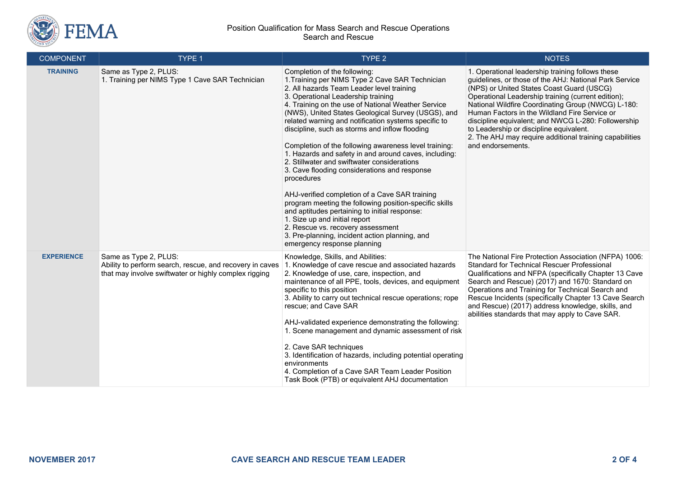

### Position Qualification for Mass Search and Rescue Operations Search and Rescue

| <b>COMPONENT</b>  | TYPE 1                                                                                                                                     | TYPE <sub>2</sub>                                                                                                                                                                                                                                                                                                                                                                                                                                                                                                                                                                                                                                                                                                                                                                                                                                                                                                                           | <b>NOTES</b>                                                                                                                                                                                                                                                                                                                                                                                                                                                                                           |
|-------------------|--------------------------------------------------------------------------------------------------------------------------------------------|---------------------------------------------------------------------------------------------------------------------------------------------------------------------------------------------------------------------------------------------------------------------------------------------------------------------------------------------------------------------------------------------------------------------------------------------------------------------------------------------------------------------------------------------------------------------------------------------------------------------------------------------------------------------------------------------------------------------------------------------------------------------------------------------------------------------------------------------------------------------------------------------------------------------------------------------|--------------------------------------------------------------------------------------------------------------------------------------------------------------------------------------------------------------------------------------------------------------------------------------------------------------------------------------------------------------------------------------------------------------------------------------------------------------------------------------------------------|
| <b>TRAINING</b>   | Same as Type 2, PLUS:<br>1. Training per NIMS Type 1 Cave SAR Technician                                                                   | Completion of the following:<br>1. Training per NIMS Type 2 Cave SAR Technician<br>2. All hazards Team Leader level training<br>3. Operational Leadership training<br>4. Training on the use of National Weather Service<br>(NWS), United States Geological Survey (USGS), and<br>related warning and notification systems specific to<br>discipline, such as storms and inflow flooding<br>Completion of the following awareness level training:<br>1. Hazards and safety in and around caves, including:<br>2. Stillwater and swiftwater considerations<br>3. Cave flooding considerations and response<br>procedures<br>AHJ-verified completion of a Cave SAR training<br>program meeting the following position-specific skills<br>and aptitudes pertaining to initial response:<br>1. Size up and initial report<br>2. Rescue vs. recovery assessment<br>3. Pre-planning, incident action planning, and<br>emergency response planning | 1. Operational leadership training follows these<br>guidelines, or those of the AHJ: National Park Service<br>(NPS) or United States Coast Guard (USCG)<br>Operational Leadership training (current edition);<br>National Wildfire Coordinating Group (NWCG) L-180:<br>Human Factors in the Wildland Fire Service or<br>discipline equivalent; and NWCG L-280: Followership<br>to Leadership or discipline equivalent.<br>2. The AHJ may require additional training capabilities<br>and endorsements. |
| <b>EXPERIENCE</b> | Same as Type 2, PLUS:<br>Ability to perform search, rescue, and recovery in caves<br>that may involve swiftwater or highly complex rigging | Knowledge, Skills, and Abilities:<br>1. Knowledge of cave rescue and associated hazards<br>2. Knowledge of use, care, inspection, and<br>maintenance of all PPE, tools, devices, and equipment<br>specific to this position<br>3. Ability to carry out technical rescue operations; rope<br>rescue; and Cave SAR<br>AHJ-validated experience demonstrating the following:<br>1. Scene management and dynamic assessment of risk<br>2. Cave SAR techniques<br>3. Identification of hazards, including potential operating<br>environments<br>4. Completion of a Cave SAR Team Leader Position<br>Task Book (PTB) or equivalent AHJ documentation                                                                                                                                                                                                                                                                                             | The National Fire Protection Association (NFPA) 1006:<br><b>Standard for Technical Rescuer Professional</b><br>Qualifications and NFPA (specifically Chapter 13 Cave<br>Search and Rescue) (2017) and 1670: Standard on<br>Operations and Training for Technical Search and<br>Rescue Incidents (specifically Chapter 13 Cave Search<br>and Rescue) (2017) address knowledge, skills, and<br>abilities standards that may apply to Cave SAR.                                                           |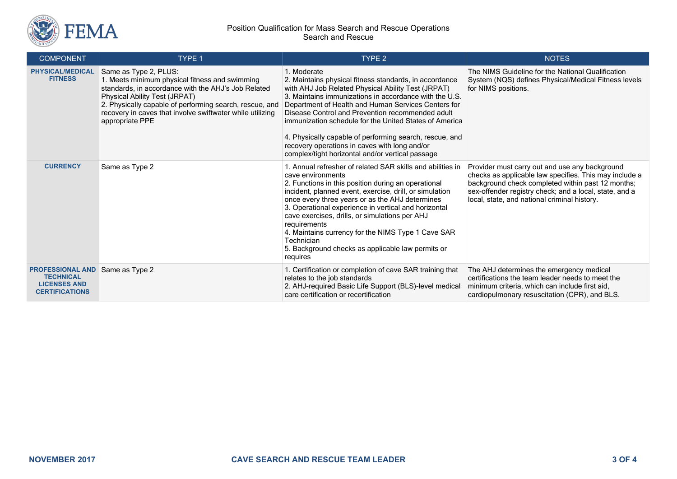

#### Position Qualification for Mass Search and Rescue Operations Search and Rescue

| <b>COMPONENT</b>                                                                            | TYPE 1                                                                                                                                                                                                                                                                                                     | <b>TYPE 2</b>                                                                                                                                                                                                                                                                                                                                                                                                                                                                                                              | <b>NOTES</b>                                                                                                                                                                                                                                                            |
|---------------------------------------------------------------------------------------------|------------------------------------------------------------------------------------------------------------------------------------------------------------------------------------------------------------------------------------------------------------------------------------------------------------|----------------------------------------------------------------------------------------------------------------------------------------------------------------------------------------------------------------------------------------------------------------------------------------------------------------------------------------------------------------------------------------------------------------------------------------------------------------------------------------------------------------------------|-------------------------------------------------------------------------------------------------------------------------------------------------------------------------------------------------------------------------------------------------------------------------|
| <b>PHYSICAL/MEDICAL</b><br><b>FITNESS</b>                                                   | Same as Type 2, PLUS:<br>1. Meets minimum physical fitness and swimming<br>standards, in accordance with the AHJ's Job Related<br>Physical Ability Test (JRPAT)<br>2. Physically capable of performing search, rescue, and<br>recovery in caves that involve swiftwater while utilizing<br>appropriate PPE | 1. Moderate<br>2. Maintains physical fitness standards, in accordance<br>with AHJ Job Related Physical Ability Test (JRPAT)<br>3. Maintains immunizations in accordance with the U.S.<br>Department of Health and Human Services Centers for<br>Disease Control and Prevention recommended adult<br>immunization schedule for the United States of America<br>4. Physically capable of performing search, rescue, and<br>recovery operations in caves with long and/or<br>complex/tight horizontal and/or vertical passage | The NIMS Guideline for the National Qualification<br>System (NQS) defines Physical/Medical Fitness levels<br>for NIMS positions.                                                                                                                                        |
| <b>CURRENCY</b>                                                                             | Same as Type 2                                                                                                                                                                                                                                                                                             | 1. Annual refresher of related SAR skills and abilities in<br>cave environments<br>2. Functions in this position during an operational<br>incident, planned event, exercise, drill, or simulation<br>once every three years or as the AHJ determines<br>3. Operational experience in vertical and horizontal<br>cave exercises, drills, or simulations per AHJ<br>requirements<br>4. Maintains currency for the NIMS Type 1 Cave SAR<br>Technician<br>5. Background checks as applicable law permits or<br>requires        | Provider must carry out and use any background<br>checks as applicable law specifies. This may include a<br>background check completed within past 12 months;<br>sex-offender registry check; and a local, state, and a<br>local, state, and national criminal history. |
| <b>PROFESSIONAL AND</b><br><b>TECHNICAL</b><br><b>LICENSES AND</b><br><b>CERTIFICATIONS</b> | Same as Type 2                                                                                                                                                                                                                                                                                             | 1. Certification or completion of cave SAR training that<br>relates to the job standards<br>2. AHJ-required Basic Life Support (BLS)-level medical<br>care certification or recertification                                                                                                                                                                                                                                                                                                                                | The AHJ determines the emergency medical<br>certifications the team leader needs to meet the<br>minimum criteria, which can include first aid,<br>cardiopulmonary resuscitation (CPR), and BLS.                                                                         |